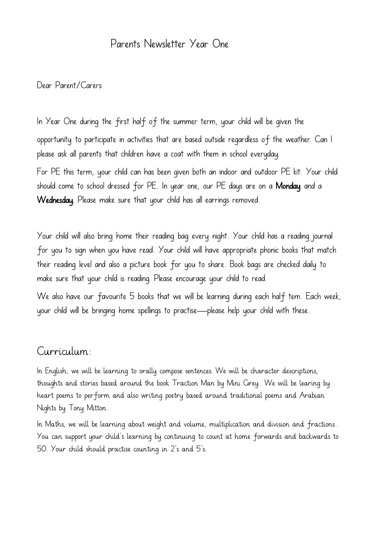## Parents Newsletter Year One

## Dear Parent/Carers

In Year One during the first half of the summer term, your child will be given the opportunity to participate in activities that are based outside regardless of the weather. Can I please ask all parents that children have a coat with them in school everyday. For PE this term, your child can has been given both an indoor and outdoor PE kit. Your child should come to school dressed for PE. In year one, our PE days are on a Monday and a Wednesday. Please make sure that your child has all earrings removed.

Your child will also bring home their reading bag every night. Your child has a reading journal for you to sign when you have read. Your child will have appropriate phonic books that match their reading level and also a picture book for you to share. Book bags are checked daily to make sure that your child is reading. Please encourage your child to read.

We also have our favourite 5 books that we will be learning during each half tem. Each week, your child will be bringing home spellings to practise—please help your child with these.

## Curriculum:

In English, we will be learning to orally compose sentences. We will be character descriptions, thoughts and stories based around the book Traction Man by Mini Grey.. We will be learing by heart poems to perform and also writing poetry based around traditional poems and Arabian Nights by Tony Mitton.

In Maths, we will be learning about weight and volume, multiplication and division and fractions.. You can support your child's learning by continuing to count at home forwards and backwards to 50. Your child should practise counting in 2's and 5's.